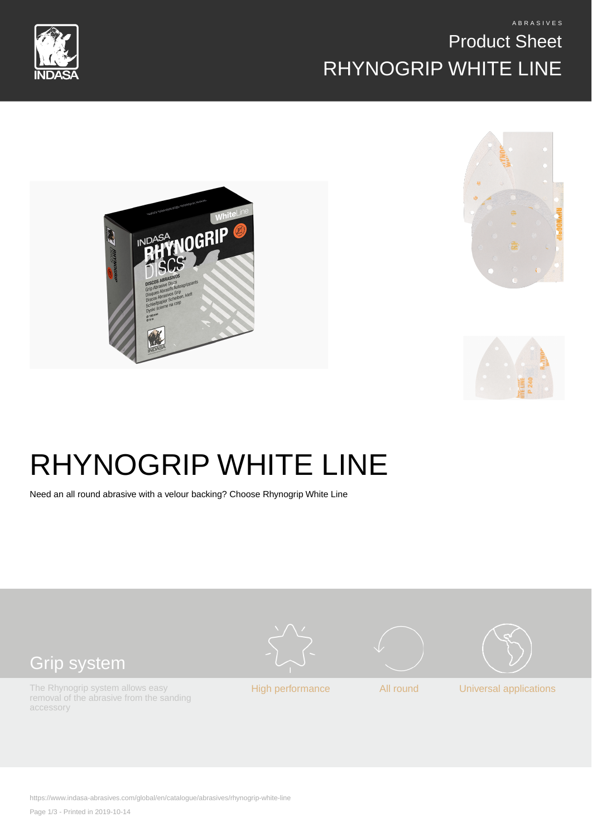# Product Sheet RHYNOGRIP WHITE LINE











Need an all round abrasive with a velour backing? Choose Rhynogrip White Line



https://www.indasa-abrasives.com/global/en/catalogue/abrasives/rhynogrip-white-line

Page 1/3 - Printed in 2019-10-14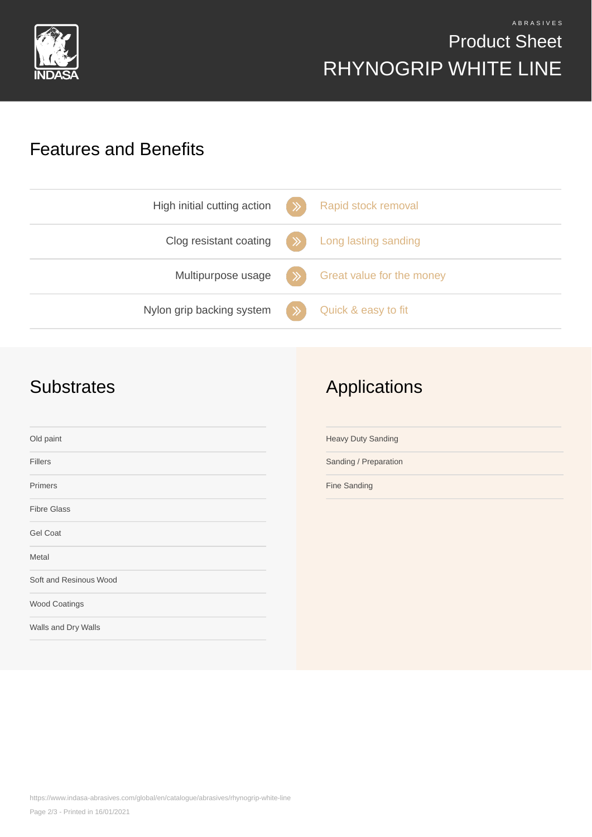

### A B R A S I V E S Product Sheet RHYNOGRIP WHITE LINE

#### Features and Benefits

| High initial cutting action | Rapid stock removal       |
|-----------------------------|---------------------------|
| Clog resistant coating      | Long lasting sanding      |
| Multipurpose usage          | Great value for the money |
| Nylon grip backing system   | Quick & easy to fit       |

#### **Substrates**

## Applications

| Old paint              | <b>Heavy Duty Sanding</b> |
|------------------------|---------------------------|
| <b>Fillers</b>         | Sanding / Preparation     |
| Primers                | Fine Sanding              |
| <b>Fibre Glass</b>     |                           |
| Gel Coat               |                           |
| Metal                  |                           |
| Soft and Resinous Wood |                           |
| Wood Coatings          |                           |
| Walls and Dry Walls    |                           |
|                        |                           |

https://www.indasa-abrasives.com/global/en/catalogue/abrasives/rhynogrip-white-line